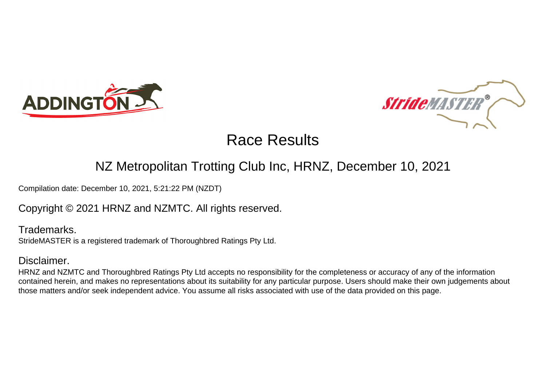



### NZ Metropolitan Trotting Club Inc, HRNZ, December 10, 2021

Compilation date: December 10, 2021, 5:21:22 PM (NZDT)

Copyright © 2021 HRNZ and NZMTC. All rights reserved.

Trademarks. StrideMASTER is a registered trademark of Thoroughbred Ratings Pty Ltd.

### Disclaimer.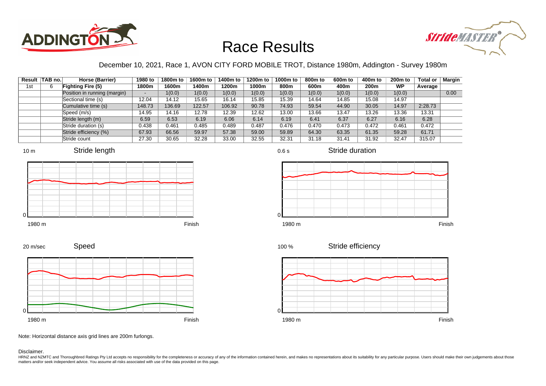



### December 10, 2021, Race 1, AVON CITY FORD MOBILE TROT, Distance 1980m, Addington - Survey 1980m

|     | Result   TAB no. | Horse (Barrier)              | 1980 to | 1800m to | 1600m to | 1400m to | 1200m to | 1000m to | 800m to | 600 <sub>m</sub> to | 400m to | 200 <sub>m</sub> to | <b>Total or</b> | Margin |
|-----|------------------|------------------------------|---------|----------|----------|----------|----------|----------|---------|---------------------|---------|---------------------|-----------------|--------|
| 1st | 6                | <b>Fighting Fire (5)</b>     | 1800m   | 1600m    | 1400m    | 1200m    | 1000m    | 800m     | 600m    | 400m                | 200m    | <b>WP</b>           | Average         |        |
|     |                  | Position in running (margin) |         | 1(0.0)   | 1(0.0)   | 1(0.0)   | 1(0.0)   | 1(0.0)   | 1(0.0)  | 1(0.0)              | 1(0.0)  | 1(0.0)              |                 | 0.00   |
|     |                  | Sectional time (s)           | 12.04   | 14.12    | 15.65    | 16.14    | 15.85    | 15.39    | 14.64   | 14.85               | 15.08   | 14.97               |                 |        |
|     |                  | Cumulative time (s)          | 148.73  | 136.69   | 122.57   | 106.92   | 90.78    | 74.93    | 59.54   | 44.90               | 30.05   | 14.97               | 2:28.73         |        |
|     |                  | Speed (m/s)                  | 14.95   | 14.16    | 12.78    | 12.39    | 12.62    | 13.00    | 13.66   | 13.47               | 13.26   | 13.36               | 13.31           |        |
|     |                  | Stride length (m)            | 6.59    | 6.53     | 6.19     | 6.06     | 6.14     | 6.19     | 6.41    | 6.37                | 6.27    | 6.16                | 6.28            |        |
|     |                  | Stride duration (s)          | 0.438   | 0.461    | 0.485    | 0.489    | 0.487    | 0.476    | 0.470   | 0.473               | 0.472   | 0.461               | 0.472           |        |
|     |                  | Stride efficiency (%)        | 67.93   | 66.56    | 59.97    | 57.38    | 59.00    | 59.89    | 64.30   | 63.35               | 61.35   | 59.28               | 61.71           |        |
|     |                  | Stride count                 | 27.30   | 30.65    | 32.28    | 33.00    | 32.55    | 32.31    | 31.18   | 31.41               | 31.92   | 32.47               | 315.07          |        |











Stride duration



Stride efficiency 100 %



Note: Horizontal distance axis grid lines are 200m furlongs.

#### Disclaimer.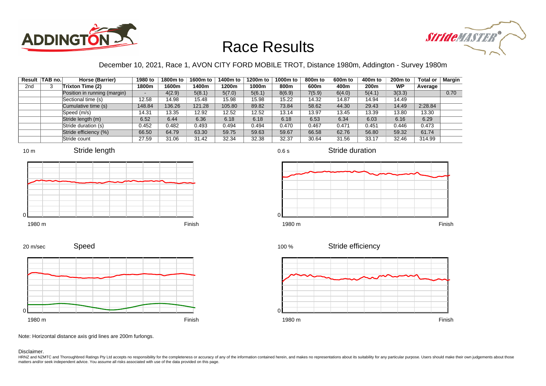



### December 10, 2021, Race 1, AVON CITY FORD MOBILE TROT, Distance 1980m, Addington - Survey 1980m

0.6 s

|     | Result   TAB no. | Horse (Barrier)              | 1980 to | 1800m to | 1600m to | 1400m to | 1200m to | 1000m to | 800m to | 600 <sub>m</sub> to | 400m to | 200 <sub>m</sub> to | <b>Total or</b> | Margin |
|-----|------------------|------------------------------|---------|----------|----------|----------|----------|----------|---------|---------------------|---------|---------------------|-----------------|--------|
| 2nd | 3                | Trixton Time (2)             | 1800m   | 1600m    | 1400m    | 1200m    | 1000m    | 800m     | 600m    | 400m                | 200m    | <b>WP</b>           | Average         |        |
|     |                  | Position in running (margin) |         | 4(2.9)   | 5(8.1)   | 5(7.0)   | 5(6.1)   | 8(6.9)   | 7(5.9)  | 6(4.0)              | 5(4.1)  | 3(3.3)              |                 | 0.70   |
|     |                  | Sectional time (s)           | 12.58   | 14.98    | 15.48    | 15.98    | 15.98    | 15.22    | 14.32   | 14.87               | 14.94   | 14.49               |                 |        |
|     |                  | Cumulative time (s)          | 148.84  | 136.26   | 121.28   | 105.80   | 89.82    | 73.84    | 58.62   | 44.30               | 29.43   | 14.49               | 2:28.84         |        |
|     |                  | Speed (m/s)                  | 14.31   | 13.35    | 12.92    | 12.52    | 12.52    | 13.14    | 13.97   | 13.45               | 13.39   | 13.80               | 13.30           |        |
|     |                  | Stride length (m)            | 6.52    | 6.44     | 6.36     | 6.18     | 6.18     | 6.18     | 6.53    | 6.34                | 6.03    | 6.16                | 6.29            |        |
|     |                  | Stride duration (s)          | 0.452   | 0.482    | 0.493    | 0.494    | 0.494    | 0.470    | 0.467   | 0.471               | 0.451   | 0.446               | 0.473           |        |
|     |                  | Stride efficiency (%)        | 66.50   | 64.79    | 63.30    | 59.75    | 59.63    | 59.67    | 66.58   | 62.76               | 56.80   | 59.32               | 61.74           |        |
|     |                  | Stride count                 | 27.59   | 31.06    | 31.42    | 32.34    | 32.38    | 32.37    | 30.64   | 31.56               | 33.17   | 32.46               | 314.99          |        |









Stride duration





Speed 20 m/sec



Note: Horizontal distance axis grid lines are 200m furlongs.

Disclaimer.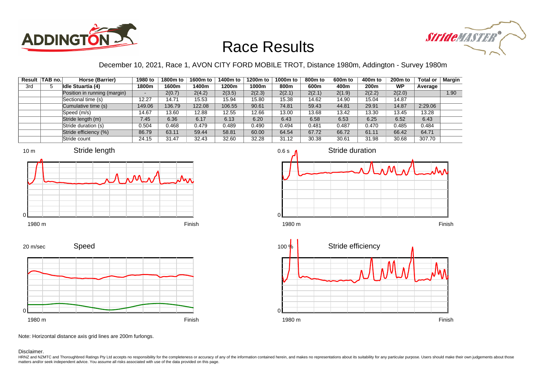



### December 10, 2021, Race 1, AVON CITY FORD MOBILE TROT, Distance 1980m, Addington - Survey 1980m

|     | Result TAB no. | Horse (Barrier)              | 1980 to | 1800m to | 1600m to | 1400m to | 1200m to | 1000m to | 800m to | 600m to | 400m to          | 200 <sub>m</sub> to | <b>Total or</b> | Margin |
|-----|----------------|------------------------------|---------|----------|----------|----------|----------|----------|---------|---------|------------------|---------------------|-----------------|--------|
| 3rd |                | <b>Idle Stuartia (4)</b>     | 1800m   | 1600m    | 1400m    | 1200m    | 1000m    | 800m     | 600m    | 400m    | 200 <sub>m</sub> | WP                  | Average         |        |
|     |                | Position in running (margin) |         | 2(0.7)   | 2(4.2)   | 2(3.5)   | 2(2.3)   | 2(2.1)   | 2(2.1)  | 2(1.9)  | 2(2.2)           | 2(2.0)              |                 | 1.90   |
|     |                | Sectional time (s)           | 12.27   | 14.71    | 15.53    | 15.94    | 15.80    | 15.38    | 14.62   | 14.90   | 15.04            | 14.87               |                 |        |
|     |                | Cumulative time (s)          | 149.06  | 136.79   | 122.08   | 106.55   | 90.61    | 74.81    | 59.43   | 44.81   | 29.91            | 14.87               | 2:29.06         |        |
|     |                | Speed (m/s)                  | 14.67   | 13.60    | 12.88    | 12.55    | 12.66    | 13.00    | 13.68   | 13.42   | 13.30            | 13.45               | 13.28           |        |
|     |                | Stride length (m)            | 7.45    | 6.36     | 6.17     | 6.13     | 6.20     | 6.43     | 6.58    | 6.53    | 6.25             | 6.52                | 6.43            |        |
|     |                | Stride duration (s)          | 0.504   | 0.468    | 0.479    | 0.489    | 0.490    | 0.494    | 0.481   | 0.487   | 0.470            | 0.485               | 0.484           |        |
|     |                | Stride efficiency (%)        | 86.79   | 63.11    | 59.44    | 58.81    | 60.00    | 64.54    | 67.72   | 66.72   | 61.11            | 66.42               | 64.71           |        |
|     |                | Stride count                 | 24.15   | 31.47    | 32.43    | 32.60    | 32.28    | 31.12    | 30.38   | 30.61   | 31.98            | 30.68               | 307.70          |        |









Note: Horizontal distance axis grid lines are 200m furlongs.

#### Disclaimer.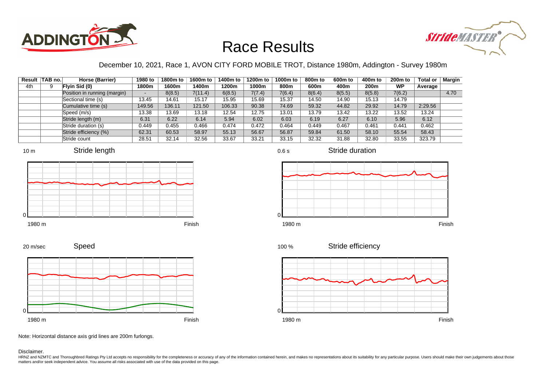



### December 10, 2021, Race 1, AVON CITY FORD MOBILE TROT, Distance 1980m, Addington - Survey 1980m

| Result | TAB no. | Horse (Barrier)              | 1980 to | 1800m to | 1600m to | 1400m to | 1200m to | 1000m to | 800 <sub>m</sub> to | 600 <sub>m</sub> to | 400m to | 200 <sub>m</sub> to | <b>Total or</b> | Margin |
|--------|---------|------------------------------|---------|----------|----------|----------|----------|----------|---------------------|---------------------|---------|---------------------|-----------------|--------|
| 4th    | 9       | Flyin Sid (0)                | 1800m   | 1600m    | 1400m    | 1200m    | 1000m    | 800m     | 600m                | 400m                | 200m    | <b>WP</b>           | Average         |        |
|        |         | Position in running (margin) |         | 8(8.5)   | 7(11.4)  | 6(8.5)   | 7(7.4)   | 7(6.4)   | 8(6.4)              | 8(5.5)              | 8(5.8)  | 7(6.2)              |                 | 4.70   |
|        |         | Sectional time (s)           | 13.45   | 14.61    | 15.17    | 15.95    | 15.69    | 15.37    | 14.50               | 14.90               | 15.13   | 14.79               |                 |        |
|        |         | Cumulative time (s)          | 149.56  | 136.11   | 121.50   | 106.33   | 90.38    | 74.69    | 59.32               | 44.82               | 29.92   | 14.79               | 2:29.56         |        |
|        |         | Speed (m/s)                  | 13.38   | 13.69    | 13.18    | 12.54    | 12.75    | 13.01    | 13.79               | 13.42               | 13.22   | 13.52               | 13.24           |        |
|        |         | Stride length (m)            | 6.31    | 6.22     | 6.14     | 5.94     | 6.02     | 6.03     | 6.19                | 6.27                | 6.10    | 5.96                | 6.12            |        |
|        |         | Stride duration (s)          | 0.449   | 0.455    | 0.466    | 0.474    | 0.472    | 0.464    | 0.449               | 0.467               | 0.461   | 0.441               | 0.462           |        |
|        |         | Stride efficiency (%)        | 62.31   | 60.53    | 58.97    | 55.13    | 56.67    | 56.87    | 59.84               | 61.50               | 58.10   | 55.54               | 58.43           |        |
|        |         | Stride count                 | 28.51   | 32.14    | 32.56    | 33.67    | 33.21    | 33.15    | 32.32               | 31.88               | 32.80   | 33.55               | 323.79          |        |













Speed 20 m/sec



Note: Horizontal distance axis grid lines are 200m furlongs.

Disclaimer.

HRNZ and NZMTC and Thoroughbred Ratings Pty Ltd accepts no responsibility for the completeness or accuracy of any of the information contained herein, and makes no representations about its suitability for any particular p matters and/or seek independent advice. You assume all risks associated with use of the data provided on this page.

0.6 s

Stride duration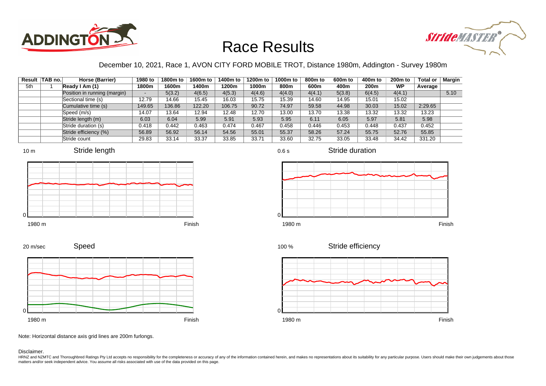



### December 10, 2021, Race 1, AVON CITY FORD MOBILE TROT, Distance 1980m, Addington - Survey 1980m

|     | Result TAB no. | Horse (Barrier)              | 1980 to | 1800m to | 1600m to | 1400m to | 1200m to | 1000m to | 800m to | 600 <sub>m</sub> to | 400m to | 200 <sub>m</sub> to | <b>Total or</b> | Margin |
|-----|----------------|------------------------------|---------|----------|----------|----------|----------|----------|---------|---------------------|---------|---------------------|-----------------|--------|
| 5th |                | Ready I Am (1)               | 1800m   | 1600m    | 1400m    | 1200m    | 1000m    | 800m     | 600m    | 400m                | 200m    | <b>WP</b>           | Average         |        |
|     |                | Position in running (margin) |         | 5(3.2)   | 4(6.5)   | 4(5.3)   | 4(4.6)   | 4(4.0)   | 4(4.1)  | 5(3.8)              | 6(4.5)  | 4(4.1)              |                 | 5.10   |
|     |                | Sectional time (s)           | 12.79   | 14.66    | 15.45    | 16.03    | 15.75    | 15.39    | 14.60   | 14.95               | 15.01   | 15.02               |                 |        |
|     |                | Cumulative time (s)          | 149.65  | 136.86   | 122.20   | 106.75   | 90.72    | 74.97    | 59.58   | 44.98               | 30.03   | 15.02               | 2:29.65         |        |
|     |                | Speed (m/s)                  | 14.07   | 13.64    | 12.94    | 12.48    | 12.70    | 13.00    | 13.70   | 13.38               | 13.32   | 13.32               | 13.23           |        |
|     |                | Stride length (m)            | 6.03    | 6.04     | 5.99     | 5.91     | 5.93     | 5.95     | 6.11    | 6.05                | 5.97    | 5.81                | 5.98            |        |
|     |                | Stride duration (s)          | 0.418   | 0.442    | 0.463    | 0.474    | 0.467    | 0.458    | 0.446   | 0.453               | 0.448   | 0.437               | 0.452           |        |
|     |                | Stride efficiency (%)        | 56.89   | 56.92    | 56.14    | 54.56    | 55.01    | 55.37    | 58.26   | 57.24               | 55.75   | 52.76               | 55.85           |        |
|     |                | Stride count                 | 29.83   | 33.14    | 33.37    | 33.85    | 33.71    | 33.60    | 32.75   | 33.05               | 33.48   | 34.42               | 331.20          |        |







0.6 s



Stride duration









Speed 20 m/sec



Note: Horizontal distance axis grid lines are 200m furlongs.

#### Disclaimer.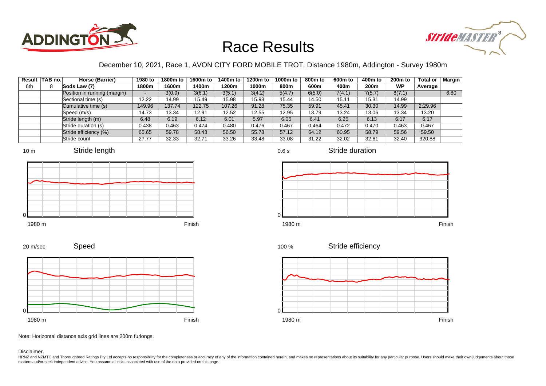



### December 10, 2021, Race 1, AVON CITY FORD MOBILE TROT, Distance 1980m, Addington - Survey 1980m

0.6 s

| Result | TAB no. | Horse (Barrier)              | 1980 to | 1800m to | 1600m to | 1400m to | 1200m to | 1000m to | 800m to | 600 <sub>m</sub> to | 400m to | 200 <sub>m</sub> to | <b>Total or</b> | Margin |
|--------|---------|------------------------------|---------|----------|----------|----------|----------|----------|---------|---------------------|---------|---------------------|-----------------|--------|
| 6th    | 8       | Sods Law (7)                 | 1800m   | 1600m    | 1400m    | 1200m    | 1000m    | 800m     | 600m    | 400m                | 200m    | <b>WP</b>           | Average         |        |
|        |         | Position in running (margin) |         | 3(0.9)   | 3(6.1)   | 3(5.1)   | 3(4.2)   | 5(4.7)   | 6(5.0)  | 7(4.1)              | 7(5.7)  | 8(7.1)              |                 | 6.80   |
|        |         | Sectional time (s)           | 12.22   | 14.99    | 15.49    | 15.98    | 15.93    | 15.44    | 14.50   | 15.11               | 15.31   | 14.99               |                 |        |
|        |         | Cumulative time (s)          | 149.96  | 137.74   | 122.75   | 107.26   | 91.28    | 75.35    | 59.91   | 45.41               | 30.30   | 14.99               | 2:29.96         |        |
|        |         | Speed (m/s)                  | 14.73   | 13.34    | 12.91    | 12.52    | 12.55    | 12.95    | 13.79   | 13.24               | 13.06   | 13.34               | 13.20           |        |
|        |         | Stride length (m)            | 6.48    | 6.19     | 6.12     | 6.01     | 5.97     | 6.05     | 6.41    | 6.25                | 6.13    | 6.17                | 6.17            |        |
|        |         | Stride duration (s)          | 0.438   | 0.463    | 0.474    | 0.480    | 0.476    | 0.467    | 0.464   | 0.472               | 0.470   | 0.463               | 0.467           |        |
|        |         | Stride efficiency (%)        | 65.65   | 59.78    | 58.43    | 56.50    | 55.78    | 57.12    | 64.12   | 60.95               | 58.79   | 59.56               | 59.50           |        |
|        |         | Stride count                 | 27.77   | 32.33    | 32.71    | 33.26    | 33.48    | 33.08    | 31.22   | 32.02               | 32.61   | 32.40               | 320.88          |        |











Stride efficiency 100 %



Speed 20 m/sec



Note: Horizontal distance axis grid lines are 200m furlongs.

Disclaimer.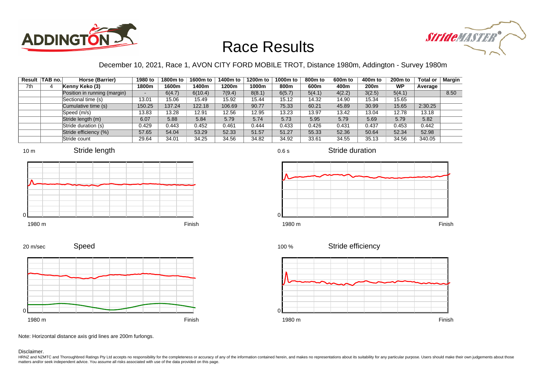



### December 10, 2021, Race 1, AVON CITY FORD MOBILE TROT, Distance 1980m, Addington - Survey 1980m

0.6 s

|     | Result   TAB no. | Horse (Barrier)              | 1980 to | 1800m to | 1600m to | 1400m to | 1200m to | 1000m to | 800m to | 600 <sub>m</sub> to | 400m to | 200 <sub>m</sub> to | <b>Total or</b> | Margin |
|-----|------------------|------------------------------|---------|----------|----------|----------|----------|----------|---------|---------------------|---------|---------------------|-----------------|--------|
| 7th |                  | Kenny Keko (3)               | 1800m   | 1600m    | 1400m    | 1200m    | 1000m    | 800m     | 600m    | 400m                | 200m    | <b>WP</b>           | Average         |        |
|     |                  | Position in running (margin) |         | 6(4.7)   | 6(10.4)  | 7(9.4)   | 8(8.1)   | 6(5.7)   | 5(4.1)  | 4(2.2)              | 3(2.5)  | 5(4.1)              |                 | 8.50   |
|     |                  | Sectional time (s)           | 13.01   | 15.06    | 15.49    | 15.92    | 15.44    | 15.12    | 14.32   | 14.90               | 15.34   | 15.65               |                 |        |
|     |                  | Cumulative time (s)          | 150.25  | 137.24   | 122.18   | 106.69   | 90.77    | 75.33    | 60.21   | 45.89               | 30.99   | 15.65               | 2:30.25         |        |
|     |                  | Speed (m/s)                  | 13.83   | 13.28    | 12.91    | 12.56    | 12.95    | 13.23    | 13.97   | 13.42               | 13.04   | 12.78               | 13.18           |        |
|     |                  | Stride length (m)            | 6.07    | 5.88     | 5.84     | 5.79     | 5.74     | 5.73     | 5.95    | 5.79                | 5.69    | 5.79                | 5.82            |        |
|     |                  | Stride duration (s)          | 0.429   | 0.443    | 0.452    | 0.461    | 0.444    | 0.433    | 0.426   | 0.431               | 0.437   | 0.453               | 0.442           |        |
|     |                  | Stride efficiency (%)        | 57.65   | 54.04    | 53.29    | 52.33    | 51.57    | 51.27    | 55.33   | 52.36               | 50.64   | 52.34               | 52.98           |        |
|     |                  | Stride count                 | 29.64   | 34.01    | 34.25    | 34.56    | 34.82    | 34.92    | 33.61   | 34.55               | 35.13   | 34.56               | 340.05          |        |







Stride duration



Speed 20 m/sec



1980 m Finish

Stride efficiency 100 %



Note: Horizontal distance axis grid lines are 200m furlongs.

Disclaimer.

0